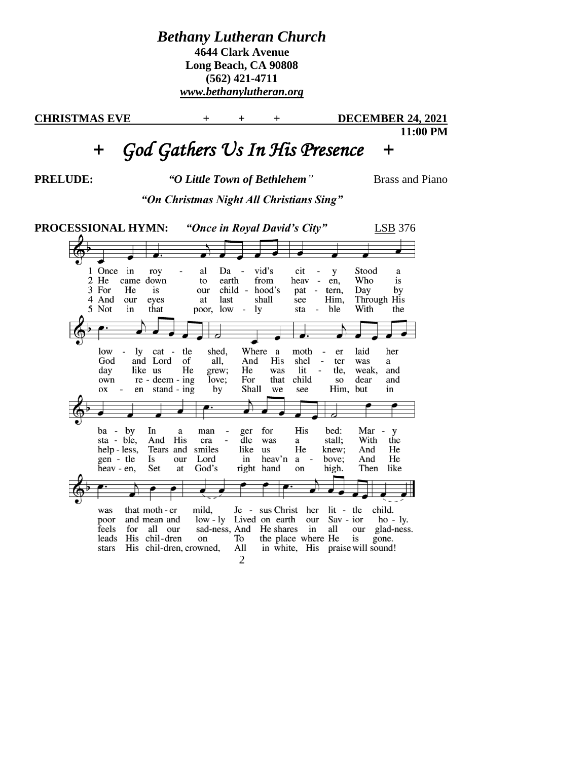*Bethany Lutheran Church* **4644 Clark Avenue Long Beach, CA 90808 (562) 421-4711** *[www.bethanylutheran.org](http://www.bethanylutheran.org/)*

**CHRISTMAS EVE + + + DECEMBER 24, 2021**

 **11:00 PM**

# *+ God Gathers Us In His Presence +*

**PRELUDE:** *"O Little Town of Bethlehem"* Brass and Piano

 *"On Christmas Night All Christians Sing"*

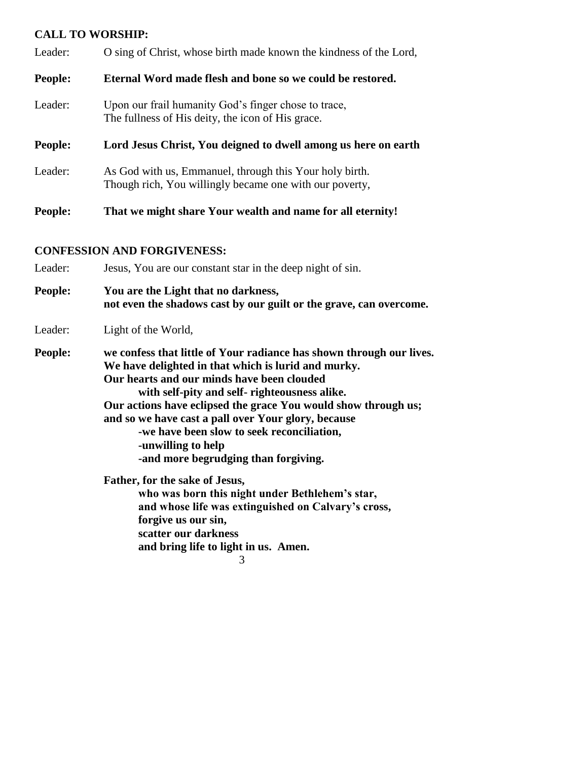#### **CALL TO WORSHIP:**

| Leader:        | O sing of Christ, whose birth made known the kindness of the Lord,                                                 |
|----------------|--------------------------------------------------------------------------------------------------------------------|
| <b>People:</b> | Eternal Word made flesh and bone so we could be restored.                                                          |
| Leader:        | Upon our frail humanity God's finger chose to trace,<br>The fullness of His deity, the icon of His grace.          |
| <b>People:</b> | Lord Jesus Christ, You deigned to dwell among us here on earth                                                     |
|                |                                                                                                                    |
| Leader:        | As God with us, Emmanuel, through this Your holy birth.<br>Though rich, You willingly became one with our poverty, |

### **CONFESSION AND FORGIVENESS:**

| Leader:        | Jesus, You are our constant star in the deep night of sin.                                                                                                                                                                                                                                                                                                                                                                                                     |
|----------------|----------------------------------------------------------------------------------------------------------------------------------------------------------------------------------------------------------------------------------------------------------------------------------------------------------------------------------------------------------------------------------------------------------------------------------------------------------------|
| <b>People:</b> | You are the Light that no darkness,<br>not even the shadows cast by our guilt or the grave, can overcome.                                                                                                                                                                                                                                                                                                                                                      |
| Leader:        | Light of the World,                                                                                                                                                                                                                                                                                                                                                                                                                                            |
| <b>People:</b> | we confess that little of Your radiance has shown through our lives.<br>We have delighted in that which is lurid and murky.<br>Our hearts and our minds have been clouded<br>with self-pity and self-righteousness alike.<br>Our actions have eclipsed the grace You would show through us;<br>and so we have cast a pall over Your glory, because<br>-we have been slow to seek reconciliation,<br>-unwilling to help<br>-and more begrudging than forgiving. |
|                | Father, for the sake of Jesus,<br>who was born this night under Bethlehem's star,<br>and whose life was extinguished on Calvary's cross,<br>forgive us our sin,<br>scatter our darkness<br>and bring life to light in us. Amen.                                                                                                                                                                                                                                |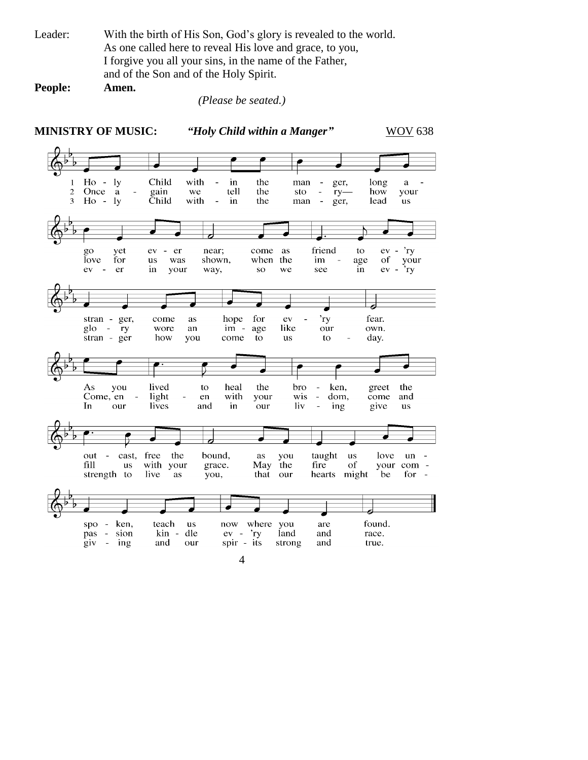Leader: With the birth of His Son, God's glory is revealed to the world. As one called here to reveal His love and grace, to you, I forgive you all your sins, in the name of the Father, and of the Son and of the Holy Spirit.

### **People: Amen.**

*(Please be seated.)*

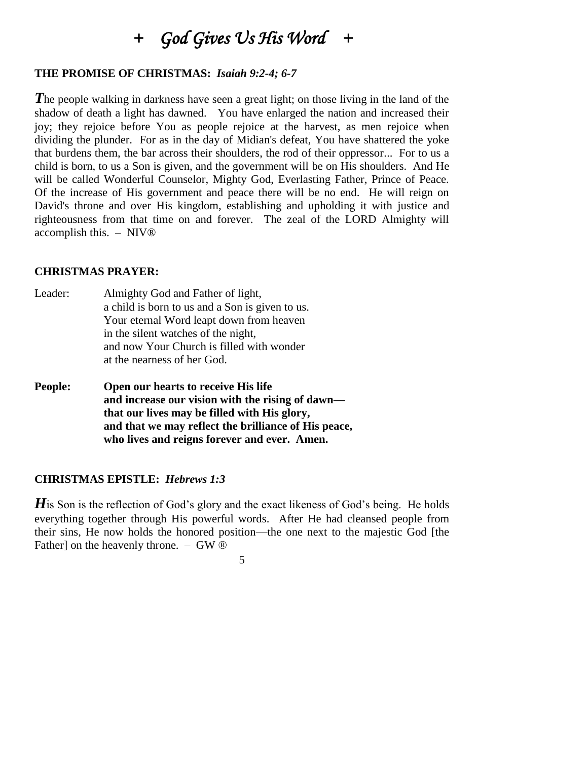## *+ God Gives Us His Word +*

#### **THE PROMISE OF CHRISTMAS:** *Isaiah 9:2-4; 6-7*

**T**he people walking in darkness have seen a great light; on those living in the land of the shadow of death a light has dawned. You have enlarged the nation and increased their joy; they rejoice before You as people rejoice at the harvest, as men rejoice when dividing the plunder. For as in the day of Midian's defeat, You have shattered the yoke that burdens them, the bar across their shoulders, the rod of their oppressor... For to us a child is born, to us a Son is given, and the government will be on His shoulders. And He will be called Wonderful Counselor, Mighty God, Everlasting Father, Prince of Peace. Of the increase of His government and peace there will be no end. He will reign on David's throne and over His kingdom, establishing and upholding it with justice and righteousness from that time on and forever. The zeal of the LORD Almighty will accomplish this. – NIV®

#### **CHRISTMAS PRAYER:**

- Leader: Almighty God and Father of light, a child is born to us and a Son is given to us. Your eternal Word leapt down from heaven in the silent watches of the night, and now Your Church is filled with wonder at the nearness of her God.
- **People: Open our hearts to receive His life and increase our vision with the rising of dawn that our lives may be filled with His glory, and that we may reflect the brilliance of His peace, who lives and reigns forever and ever. Amen.**

#### **CHRISTMAS EPISTLE:** *Hebrews 1:3*

*H* is Son is the reflection of God's glory and the exact likeness of God's being. He holds everything together through His powerful words. After He had cleansed people from their sins, He now holds the honored position—the one next to the majestic God [the Father] on the heavenly throne.  $-$  GW  $\circledR$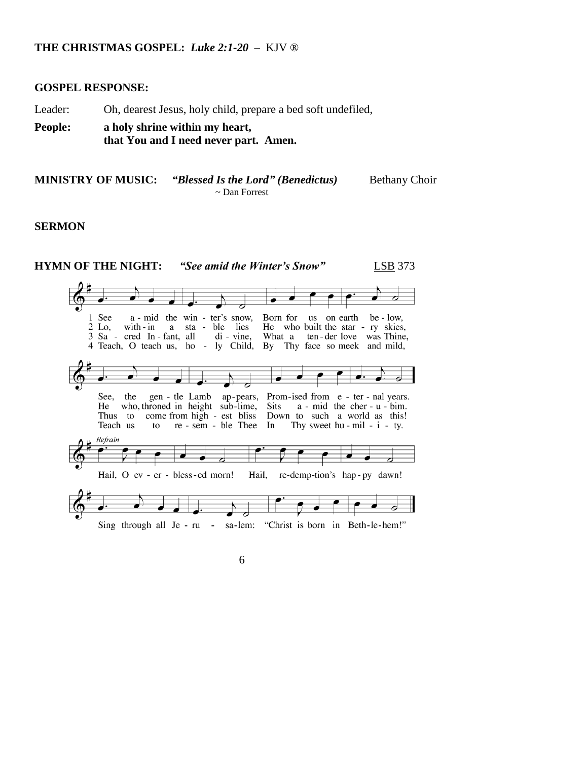#### **THE CHRISTMAS GOSPEL:** *Luke 2:1-20* – KJV ®

#### **GOSPEL RESPONSE:**

Leader: Oh, dearest Jesus, holy child, prepare a bed soft undefiled,

**People: a holy shrine within my heart, that You and I need never part. Amen.**

**MINISTRY OF MUSIC:** *"Blessed Is the Lord" (Benedictus)* Bethany Choir ~ Dan Forrest

#### **SERMON**

**HYMN OF THE NIGHT:** *"See amid the Winter's Snow"* LSB 3731 See a - mid the win - ter's snow, Born for us on earth be - low, 2 Lo, a sta - ble lies He who built the star - ry skies, with - in 3 Sa - cred In - fant, all di - vine, What a ten-der love was Thine, 4 Teach, O teach us, ho - ly Child, By Thy face so meek and mild, gen - tle Lamb Prom-ised from e - ter - nal years. See, the ap-pears, He who, throned in height sub-lime, Sits a - mid the cher - u - bim. Thus to come from high - est bliss Down to such a world as this! Teach us to re - sem - ble Thee In Thy sweet hu - mil -  $i$  - ty. Refrain Hail, O ev - er - bless-ed morn! Hail, re-demp-tion's hap-py dawn! Sing through all  $Je$  -  $ru$  sa-lem: "Christ is born in Beth-le-hem!"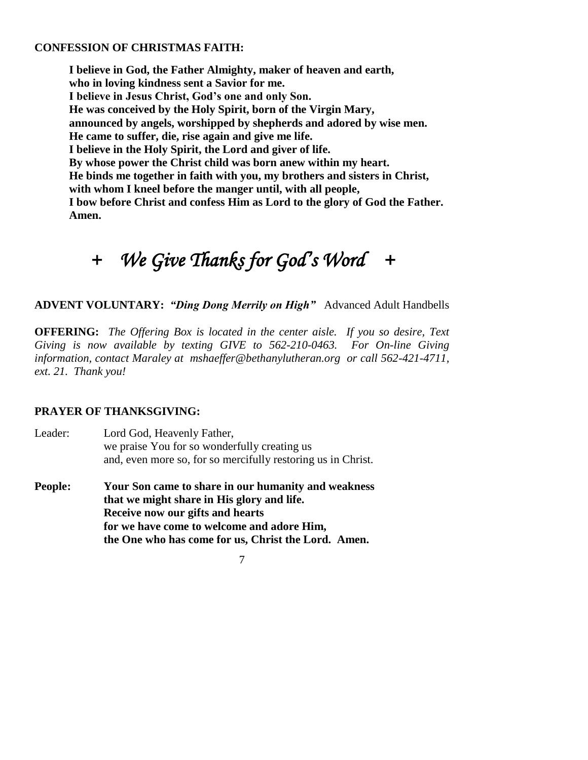#### **CONFESSION OF CHRISTMAS FAITH:**

**I believe in God, the Father Almighty, maker of heaven and earth, who in loving kindness sent a Savior for me. I believe in Jesus Christ, God's one and only Son. He was conceived by the Holy Spirit, born of the Virgin Mary, announced by angels, worshipped by shepherds and adored by wise men. He came to suffer, die, rise again and give me life. I believe in the Holy Spirit, the Lord and giver of life. By whose power the Christ child was born anew within my heart. He binds me together in faith with you, my brothers and sisters in Christ, with whom I kneel before the manger until, with all people, I bow before Christ and confess Him as Lord to the glory of God the Father. Amen.**

# *+ We Give Thanks for God's Word +*

**ADVENT VOLUNTARY:** *"Ding Dong Merrily on High"*Advanced Adult Handbells

**OFFERING:** *The Offering Box is located in the center aisle. If you so desire, Text Giving is now available by texting GIVE to 562-210-0463. For On-line Giving information, contact Maraley at mshaeffer@bethanylutheran.org or call 562-421-4711, ext. 21. Thank you!*

#### **PRAYER OF THANKSGIVING:**

- Leader: Lord God, Heavenly Father, we praise You for so wonderfully creating us and, even more so, for so mercifully restoring us in Christ.
- **People: Your Son came to share in our humanity and weakness that we might share in His glory and life. Receive now our gifts and hearts for we have come to welcome and adore Him, the One who has come for us, Christ the Lord. Amen.**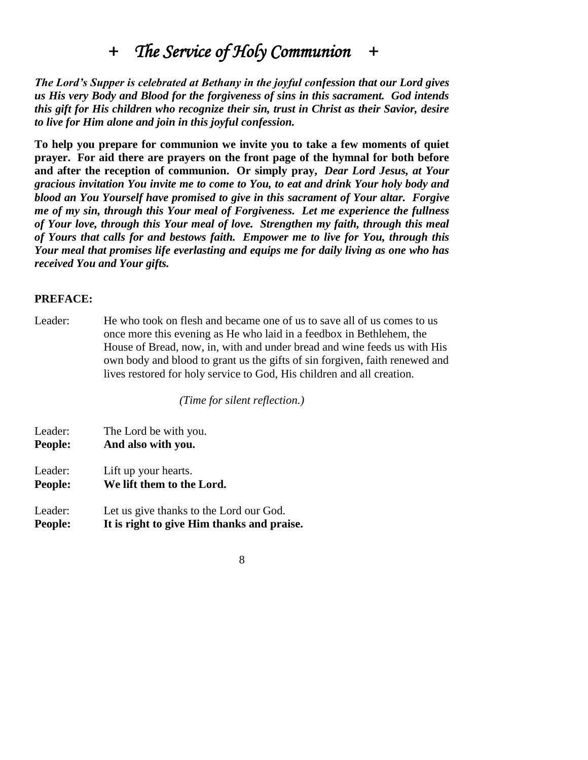## *+ The Service of Holy Communion +*

*The Lord's Supper is celebrated at Bethany in the joyful confession that our Lord gives us His very Body and Blood for the forgiveness of sins in this sacrament. God intends this gift for His children who recognize their sin, trust in Christ as their Savior, desire to live for Him alone and join in this joyful confession.*

**To help you prepare for communion we invite you to take a few moments of quiet prayer. For aid there are prayers on the front page of the hymnal for both before and after the reception of communion. Or simply pray,** *Dear Lord Jesus, at Your gracious invitation You invite me to come to You, to eat and drink Your holy body and blood an You Yourself have promised to give in this sacrament of Your altar. Forgive me of my sin, through this Your meal of Forgiveness. Let me experience the fullness of Your love, through this Your meal of love. Strengthen my faith, through this meal of Yours that calls for and bestows faith. Empower me to live for You, through this Your meal that promises life everlasting and equips me for daily living as one who has received You and Your gifts.*

#### **PREFACE:**

Leader: He who took on flesh and became one of us to save all of us comes to us once more this evening as He who laid in a feedbox in Bethlehem, the House of Bread, now, in, with and under bread and wine feeds us with His own body and blood to grant us the gifts of sin forgiven, faith renewed and lives restored for holy service to God, His children and all creation.

*(Time for silent reflection.)*

Leader: The Lord be with you. **People: And also with you.** Leader: Lift up your hearts. **People: We lift them to the Lord.** Leader: Let us give thanks to the Lord our God. **People: It is right to give Him thanks and praise.**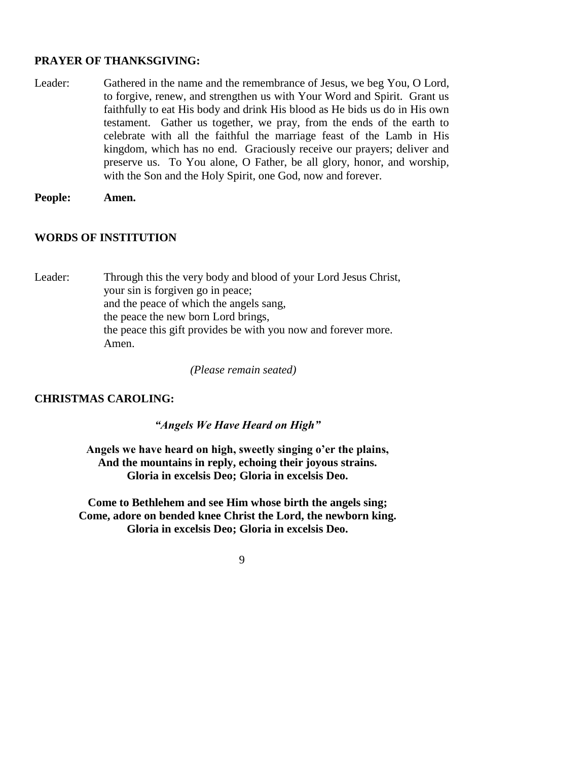#### **PRAYER OF THANKSGIVING:**

- Leader: Gathered in the name and the remembrance of Jesus, we beg You, O Lord, to forgive, renew, and strengthen us with Your Word and Spirit. Grant us faithfully to eat His body and drink His blood as He bids us do in His own testament. Gather us together, we pray, from the ends of the earth to celebrate with all the faithful the marriage feast of the Lamb in His kingdom, which has no end. Graciously receive our prayers; deliver and preserve us. To You alone, O Father, be all glory, honor, and worship, with the Son and the Holy Spirit, one God, now and forever.
- **People: Amen.**

#### **WORDS OF INSTITUTION**

Leader: Through this the very body and blood of your Lord Jesus Christ, your sin is forgiven go in peace; and the peace of which the angels sang, the peace the new born Lord brings, the peace this gift provides be with you now and forever more. Amen.

*(Please remain seated)*

#### **CHRISTMAS CAROLING:**

*"Angels We Have Heard on High"*

**Angels we have heard on high, sweetly singing o'er the plains, And the mountains in reply, echoing their joyous strains. Gloria in excelsis Deo; Gloria in excelsis Deo.**

**Come to Bethlehem and see Him whose birth the angels sing; Come, adore on bended knee Christ the Lord, the newborn king. Gloria in excelsis Deo; Gloria in excelsis Deo.**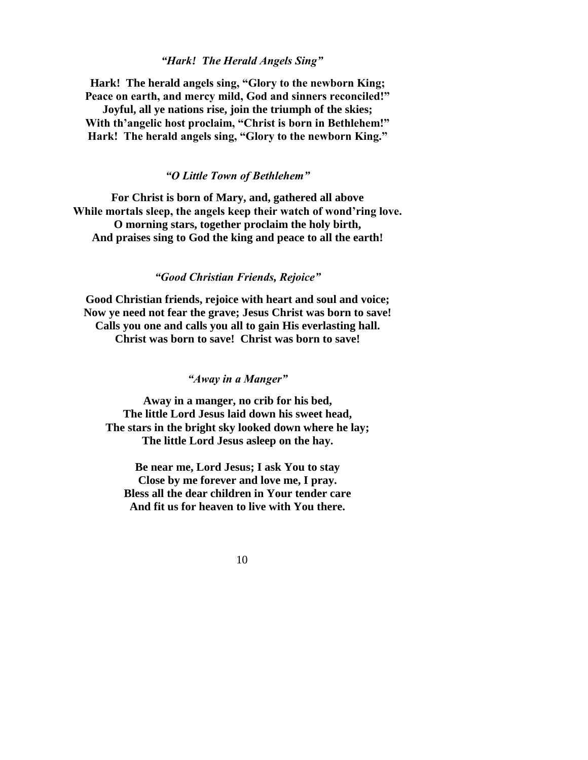#### *"Hark! The Herald Angels Sing"*

**Hark! The herald angels sing, "Glory to the newborn King; Peace on earth, and mercy mild, God and sinners reconciled!"**

**Joyful, all ye nations rise, join the triumph of the skies; With th'angelic host proclaim, "Christ is born in Bethlehem!" Hark! The herald angels sing, "Glory to the newborn King."**

#### *"O Little Town of Bethlehem"*

**For Christ is born of Mary, and, gathered all above While mortals sleep, the angels keep their watch of wond'ring love. O morning stars, together proclaim the holy birth, And praises sing to God the king and peace to all the earth!**

#### *"Good Christian Friends, Rejoice"*

**Good Christian friends, rejoice with heart and soul and voice; Now ye need not fear the grave; Jesus Christ was born to save! Calls you one and calls you all to gain His everlasting hall. Christ was born to save! Christ was born to save!**

#### *"Away in a Manger"*

**Away in a manger, no crib for his bed, The little Lord Jesus laid down his sweet head, The stars in the bright sky looked down where he lay; The little Lord Jesus asleep on the hay.**

**Be near me, Lord Jesus; I ask You to stay Close by me forever and love me, I pray. Bless all the dear children in Your tender care And fit us for heaven to live with You there.**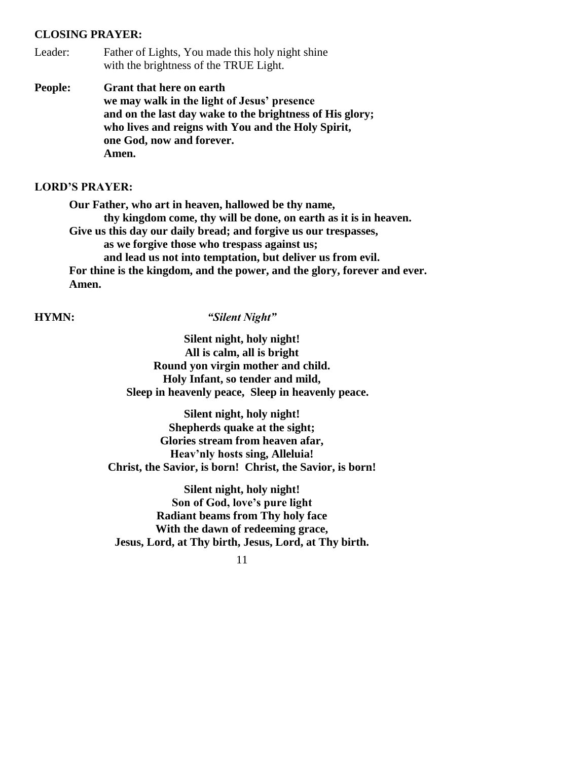#### **CLOSING PRAYER:**

Leader: Father of Lights, You made this holy night shine with the brightness of the TRUE Light.

**People: Grant that here on earth we may walk in the light of Jesus' presence and on the last day wake to the brightness of His glory; who lives and reigns with You and the Holy Spirit, one God, now and forever. Amen.** 

#### **LORD'S PRAYER:**

**Our Father, who art in heaven, hallowed be thy name, thy kingdom come, thy will be done, on earth as it is in heaven. Give us this day our daily bread; and forgive us our trespasses, as we forgive those who trespass against us; and lead us not into temptation, but deliver us from evil. For thine is the kingdom, and the power, and the glory, forever and ever. Amen.**

#### **HYMN:** *"Silent Night"*

**Silent night, holy night! All is calm, all is bright Round yon virgin mother and child. Holy Infant, so tender and mild, Sleep in heavenly peace, Sleep in heavenly peace.**

**Silent night, holy night! Shepherds quake at the sight; Glories stream from heaven afar, Heav'nly hosts sing, Alleluia! Christ, the Savior, is born! Christ, the Savior, is born!**

**Silent night, holy night! Son of God, love's pure light Radiant beams from Thy holy face With the dawn of redeeming grace, Jesus, Lord, at Thy birth, Jesus, Lord, at Thy birth.**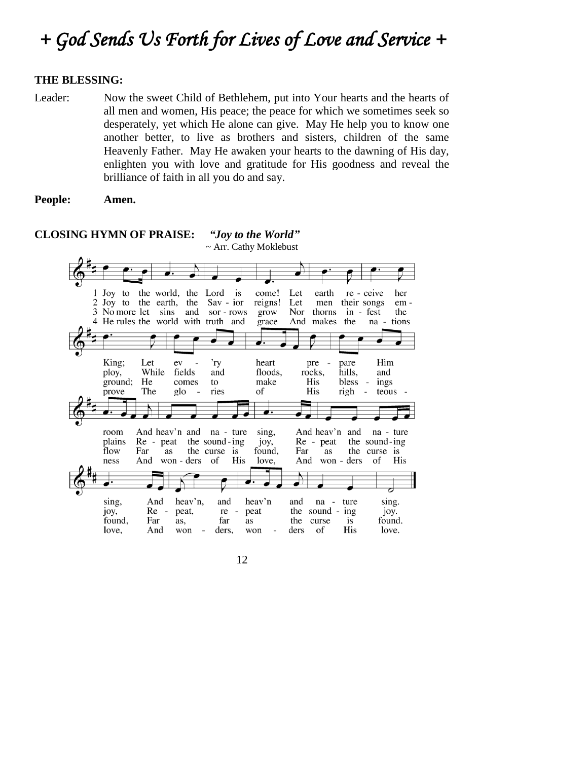# *+ God Sends Us Forth for Lives of Love and Service +*

#### **THE BLESSING:**

Leader: Now the sweet Child of Bethlehem, put into Your hearts and the hearts of all men and women, His peace; the peace for which we sometimes seek so desperately, yet which He alone can give. May He help you to know one another better, to live as brothers and sisters, children of the same Heavenly Father. May He awaken your hearts to the dawning of His day, enlighten you with love and gratitude for His goodness and reveal the brilliance of faith in all you do and say.

**People: Amen.**

#### **CLOSING HYMN OF PRAISE:** *"Joy to the World"* ~ Arr. Cathy MoklebustJoy to 1 the world, the Lord is come! Let earth re - ceive her 2 Joy to the earth, the Sav - ior reigns! Let men their songs em-3 No more let sins Nor in - fest the and sor - rows grow thorns 4 He rules the world with truth and And makes the grace na - tions J • King; Let ev 'ry heart pare Him  $\overline{\phantom{a}}$ pre ploy, While fields and floods, rocks, hills, and ground; He comes to make His bless ings  $\overline{a}$ prove The glo ries of His righ  $\overline{\phantom{a}}$ teous - $\overline{\phantom{a}}$ • room And heav'n and na - ture sing, And heav'n and na - ture plains Re - peat the sound-ing joy, Re - peat the sound-ing flow found, Far as the curse is Far as the curse is ness And won - ders of His love, And won - ders of His sing, And heav'n, and heav'n ture sing. and na joy, Re peat, re  $\overline{\phantom{a}}$ peat the sound - ing joy. found, Far far the found. as, as curse is love, And ders, His love. won  $\overline{\phantom{a}}$ won ders of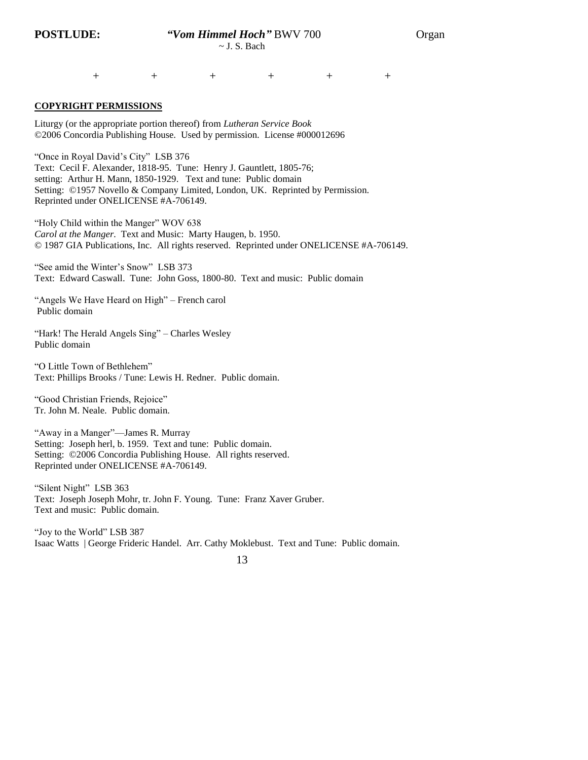+ + + + + +

#### **COPYRIGHT PERMISSIONS**

Liturgy (or the appropriate portion thereof) from *Lutheran Service Book* ©2006 Concordia Publishing House. Used by permission. License #000012696

"Once in Royal David's City" LSB 376 Text: Cecil F. Alexander, 1818-95. Tune: Henry J. Gauntlett, 1805-76; setting: Arthur H. Mann, 1850-1929. Text and tune: Public domain Setting: ©1957 Novello & Company Limited, London, UK. Reprinted by Permission. Reprinted under ONELICENSE #A-706149.

"Holy Child within the Manger" WOV 638 *Carol at the Manger.* Text and Music: Marty Haugen, b. 1950. © 1987 GIA Publications, Inc. All rights reserved. Reprinted under ONELICENSE #A-706149.

"See amid the Winter's Snow" LSB 373 Text: Edward Caswall. Tune: John Goss, 1800-80. Text and music: Public domain

"Angels We Have Heard on High" – French carol Public domain

"Hark! The Herald Angels Sing" – Charles Wesley Public domain

"O Little Town of Bethlehem" Text: Phillips Brooks / Tune: Lewis H. Redner. Public domain.

"Good Christian Friends, Rejoice" Tr. John M. Neale. Public domain.

"Away in a Manger"—James R. Murray Setting: Joseph herl, b. 1959. Text and tune: Public domain. Setting: ©2006 Concordia Publishing House. All rights reserved. Reprinted under ONELICENSE #A-706149.

"Silent Night" LSB 363 Text: Joseph Joseph Mohr, tr. John F. Young. Tune: Franz Xaver Gruber. Text and music: Public domain.

"Joy to the World" LSB 387 Isaac Watts | George Frideric Handel. Arr. Cathy Moklebust. Text and Tune: Public domain.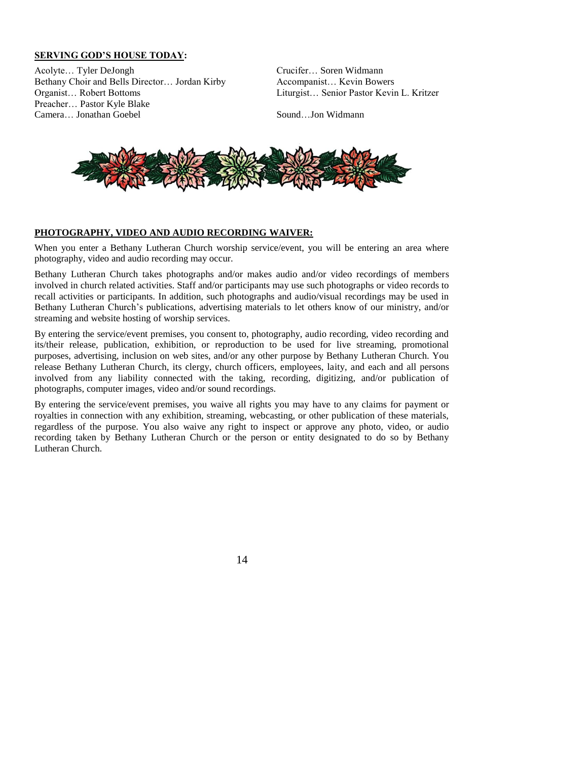#### **SERVING GOD'S HOUSE TODAY:**

Acolyte… Tyler DeJongh Crucifer… Soren Widmann Bethany Choir and Bells Director... Jordan Kirby Accompanist... Kevin Bowers Organist… Robert Bottoms Liturgist… Senior Pastor Kevin L. Kritzer Preacher… Pastor Kyle Blake Camera… Jonathan Goebel Sound…Jon Widmann



#### **PHOTOGRAPHY, VIDEO AND AUDIO RECORDING WAIVER:**

When you enter a Bethany Lutheran Church worship service/event, you will be entering an area where photography, video and audio recording may occur.

Bethany Lutheran Church takes photographs and/or makes audio and/or video recordings of members involved in church related activities. Staff and/or participants may use such photographs or video records to recall activities or participants. In addition, such photographs and audio/visual recordings may be used in Bethany Lutheran Church's publications, advertising materials to let others know of our ministry, and/or streaming and website hosting of worship services.

By entering the service/event premises, you consent to, photography, audio recording, video recording and its/their release, publication, exhibition, or reproduction to be used for live streaming, promotional purposes, advertising, inclusion on web sites, and/or any other purpose by Bethany Lutheran Church. You release Bethany Lutheran Church, its clergy, church officers, employees, laity, and each and all persons involved from any liability connected with the taking, recording, digitizing, and/or publication of photographs, computer images, video and/or sound recordings.

By entering the service/event premises, you waive all rights you may have to any claims for payment or royalties in connection with any exhibition, streaming, webcasting, or other publication of these materials, regardless of the purpose. You also waive any right to inspect or approve any photo, video, or audio recording taken by Bethany Lutheran Church or the person or entity designated to do so by Bethany Lutheran Church.